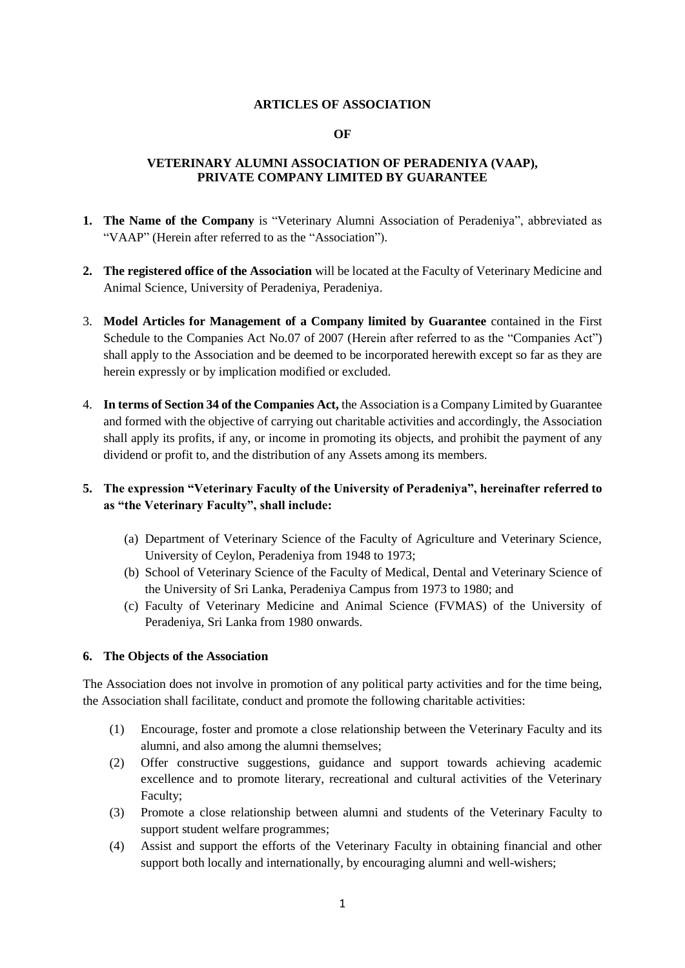### **ARTICLES OF ASSOCIATION**

#### **OF**

### **VETERINARY ALUMNI ASSOCIATION OF PERADENIYA (VAAP), PRIVATE COMPANY LIMITED BY GUARANTEE**

- **1. The Name of the Company** is "Veterinary Alumni Association of Peradeniya", abbreviated as "VAAP" (Herein after referred to as the "Association").
- **2. The registered office of the Association** will be located at the Faculty of Veterinary Medicine and Animal Science, University of Peradeniya, Peradeniya.
- 3. **Model Articles for Management of a Company limited by Guarantee** contained in the First Schedule to the Companies Act No.07 of 2007 (Herein after referred to as the "Companies Act") shall apply to the Association and be deemed to be incorporated herewith except so far as they are herein expressly or by implication modified or excluded.
- 4. **In terms of Section 34 of the Companies Act,** the Association is a Company Limited by Guarantee and formed with the objective of carrying out charitable activities and accordingly, the Association shall apply its profits, if any, or income in promoting its objects, and prohibit the payment of any dividend or profit to, and the distribution of any Assets among its members.

# **5. The expression "Veterinary Faculty of the University of Peradeniya", hereinafter referred to as "the Veterinary Faculty", shall include:**

- (a) Department of Veterinary Science of the Faculty of Agriculture and Veterinary Science, University of Ceylon, Peradeniya from 1948 to 1973;
- (b) School of Veterinary Science of the Faculty of Medical, Dental and Veterinary Science of the University of Sri Lanka, Peradeniya Campus from 1973 to 1980; and
- (c) Faculty of Veterinary Medicine and Animal Science (FVMAS) of the University of Peradeniya, Sri Lanka from 1980 onwards.

#### **6. The Objects of the Association**

The Association does not involve in promotion of any political party activities and for the time being, the Association shall facilitate, conduct and promote the following charitable activities:

- (1) Encourage, foster and promote a close relationship between the Veterinary Faculty and its alumni, and also among the alumni themselves;
- (2) Offer constructive suggestions, guidance and support towards achieving academic excellence and to promote literary, recreational and cultural activities of the Veterinary Faculty;
- (3) Promote a close relationship between alumni and students of the Veterinary Faculty to support student welfare programmes;
- (4) Assist and support the efforts of the Veterinary Faculty in obtaining financial and other support both locally and internationally, by encouraging alumni and well-wishers;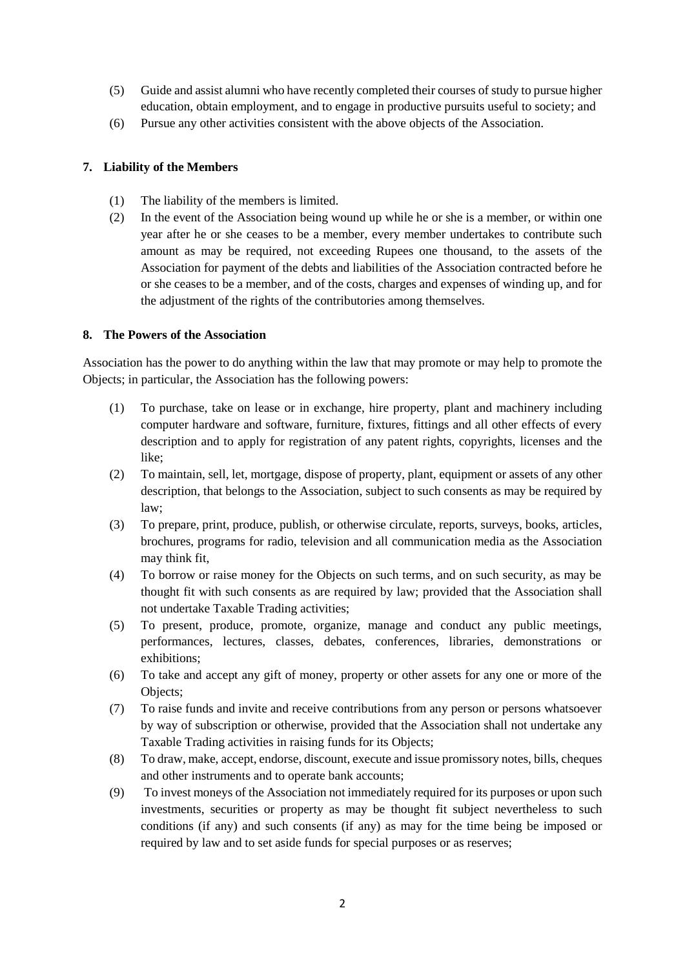- (5) Guide and assist alumni who have recently completed their courses of study to pursue higher education, obtain employment, and to engage in productive pursuits useful to society; and
- (6) Pursue any other activities consistent with the above objects of the Association.

# **7. Liability of the Members**

- (1) The liability of the members is limited.
- (2) In the event of the Association being wound up while he or she is a member, or within one year after he or she ceases to be a member, every member undertakes to contribute such amount as may be required, not exceeding Rupees one thousand, to the assets of the Association for payment of the debts and liabilities of the Association contracted before he or she ceases to be a member, and of the costs, charges and expenses of winding up, and for the adjustment of the rights of the contributories among themselves.

### **8. The Powers of the Association**

Association has the power to do anything within the law that may promote or may help to promote the Objects; in particular, the Association has the following powers:

- (1) To purchase, take on lease or in exchange, hire property, plant and machinery including computer hardware and software, furniture, fixtures, fittings and all other effects of every description and to apply for registration of any patent rights, copyrights, licenses and the like;
- (2) To maintain, sell, let, mortgage, dispose of property, plant, equipment or assets of any other description, that belongs to the Association, subject to such consents as may be required by law;
- (3) To prepare, print, produce, publish, or otherwise circulate, reports, surveys, books, articles, brochures, programs for radio, television and all communication media as the Association may think fit,
- (4) To borrow or raise money for the Objects on such terms, and on such security, as may be thought fit with such consents as are required by law; provided that the Association shall not undertake Taxable Trading activities;
- (5) To present, produce, promote, organize, manage and conduct any public meetings, performances, lectures, classes, debates, conferences, libraries, demonstrations or exhibitions;
- (6) To take and accept any gift of money, property or other assets for any one or more of the Objects;
- (7) To raise funds and invite and receive contributions from any person or persons whatsoever by way of subscription or otherwise, provided that the Association shall not undertake any Taxable Trading activities in raising funds for its Objects;
- (8) To draw, make, accept, endorse, discount, execute and issue promissory notes, bills, cheques and other instruments and to operate bank accounts;
- (9) To invest moneys of the Association not immediately required for its purposes or upon such investments, securities or property as may be thought fit subject nevertheless to such conditions (if any) and such consents (if any) as may for the time being be imposed or required by law and to set aside funds for special purposes or as reserves;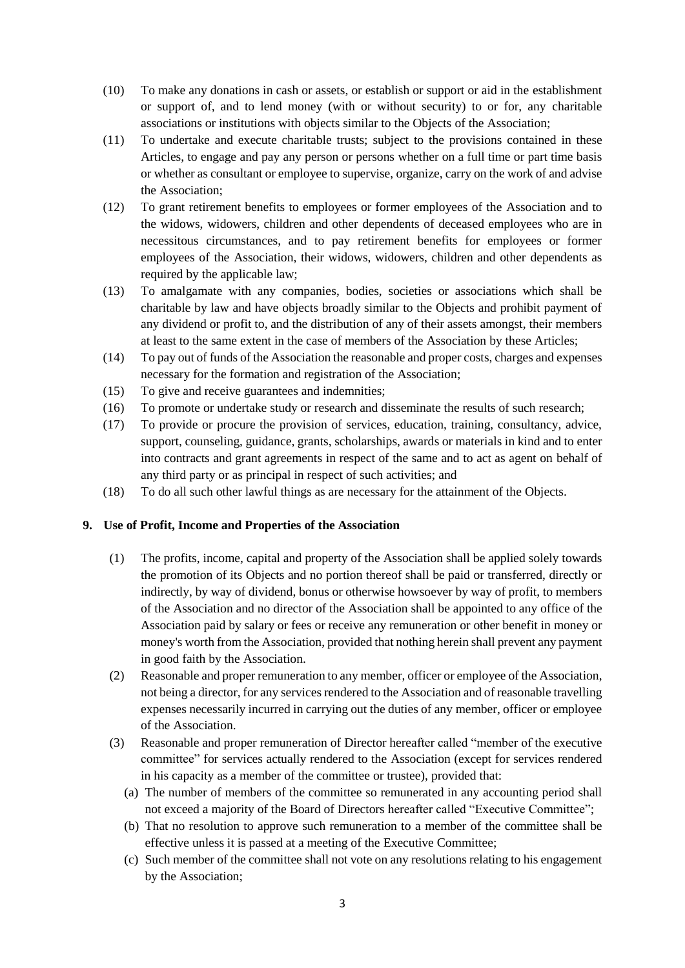- (10) To make any donations in cash or assets, or establish or support or aid in the establishment or support of, and to lend money (with or without security) to or for, any charitable associations or institutions with objects similar to the Objects of the Association;
- (11) To undertake and execute charitable trusts; subject to the provisions contained in these Articles, to engage and pay any person or persons whether on a full time or part time basis or whether as consultant or employee to supervise, organize, carry on the work of and advise the Association;
- (12) To grant retirement benefits to employees or former employees of the Association and to the widows, widowers, children and other dependents of deceased employees who are in necessitous circumstances, and to pay retirement benefits for employees or former employees of the Association, their widows, widowers, children and other dependents as required by the applicable law;
- (13) To amalgamate with any companies, bodies, societies or associations which shall be charitable by law and have objects broadly similar to the Objects and prohibit payment of any dividend or profit to, and the distribution of any of their assets amongst, their members at least to the same extent in the case of members of the Association by these Articles;
- (14) To pay out of funds of the Association the reasonable and proper costs, charges and expenses necessary for the formation and registration of the Association;
- (15) To give and receive guarantees and indemnities;
- (16) To promote or undertake study or research and disseminate the results of such research;
- (17) To provide or procure the provision of services, education, training, consultancy, advice, support, counseling, guidance, grants, scholarships, awards or materials in kind and to enter into contracts and grant agreements in respect of the same and to act as agent on behalf of any third party or as principal in respect of such activities; and
- (18) To do all such other lawful things as are necessary for the attainment of the Objects.

### **9. Use of Profit, Income and Properties of the Association**

- (1) The profits, income, capital and property of the Association shall be applied solely towards the promotion of its Objects and no portion thereof shall be paid or transferred, directly or indirectly, by way of dividend, bonus or otherwise howsoever by way of profit, to members of the Association and no director of the Association shall be appointed to any office of the Association paid by salary or fees or receive any remuneration or other benefit in money or money's worth from the Association, provided that nothing herein shall prevent any payment in good faith by the Association.
- (2) Reasonable and proper remuneration to any member, officer or employee of the Association, not being a director, for any services rendered to the Association and of reasonable travelling expenses necessarily incurred in carrying out the duties of any member, officer or employee of the Association.
- (3) Reasonable and proper remuneration of Director hereafter called "member of the executive committee" for services actually rendered to the Association (except for services rendered in his capacity as a member of the committee or trustee), provided that:
	- (a) The number of members of the committee so remunerated in any accounting period shall not exceed a majority of the Board of Directors hereafter called "Executive Committee";
	- (b) That no resolution to approve such remuneration to a member of the committee shall be effective unless it is passed at a meeting of the Executive Committee;
	- (c) Such member of the committee shall not vote on any resolutions relating to his engagement by the Association;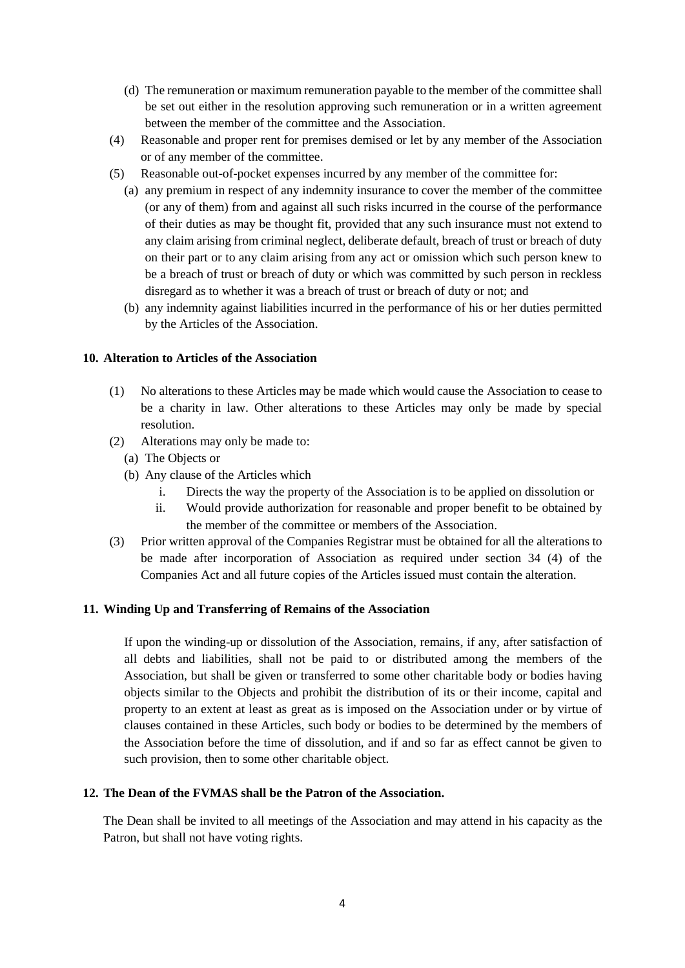- (d) The remuneration or maximum remuneration payable to the member of the committee shall be set out either in the resolution approving such remuneration or in a written agreement between the member of the committee and the Association.
- (4) Reasonable and proper rent for premises demised or let by any member of the Association or of any member of the committee.
- (5) Reasonable out-of-pocket expenses incurred by any member of the committee for:
	- (a) any premium in respect of any indemnity insurance to cover the member of the committee (or any of them) from and against all such risks incurred in the course of the performance of their duties as may be thought fit, provided that any such insurance must not extend to any claim arising from criminal neglect, deliberate default, breach of trust or breach of duty on their part or to any claim arising from any act or omission which such person knew to be a breach of trust or breach of duty or which was committed by such person in reckless disregard as to whether it was a breach of trust or breach of duty or not; and
	- (b) any indemnity against liabilities incurred in the performance of his or her duties permitted by the Articles of the Association.

### **10. Alteration to Articles of the Association**

- (1) No alterations to these Articles may be made which would cause the Association to cease to be a charity in law. Other alterations to these Articles may only be made by special resolution.
- (2) Alterations may only be made to:
	- (a) The Objects or
	- (b) Any clause of the Articles which
		- i. Directs the way the property of the Association is to be applied on dissolution or
		- ii. Would provide authorization for reasonable and proper benefit to be obtained by the member of the committee or members of the Association.
- (3) Prior written approval of the Companies Registrar must be obtained for all the alterations to be made after incorporation of Association as required under section 34 (4) of the Companies Act and all future copies of the Articles issued must contain the alteration.

### **11. Winding Up and Transferring of Remains of the Association**

If upon the winding-up or dissolution of the Association, remains, if any, after satisfaction of all debts and liabilities, shall not be paid to or distributed among the members of the Association, but shall be given or transferred to some other charitable body or bodies having objects similar to the Objects and prohibit the distribution of its or their income, capital and property to an extent at least as great as is imposed on the Association under or by virtue of clauses contained in these Articles, such body or bodies to be determined by the members of the Association before the time of dissolution, and if and so far as effect cannot be given to such provision, then to some other charitable object.

### **12. The Dean of the FVMAS shall be the Patron of the Association.**

The Dean shall be invited to all meetings of the Association and may attend in his capacity as the Patron, but shall not have voting rights.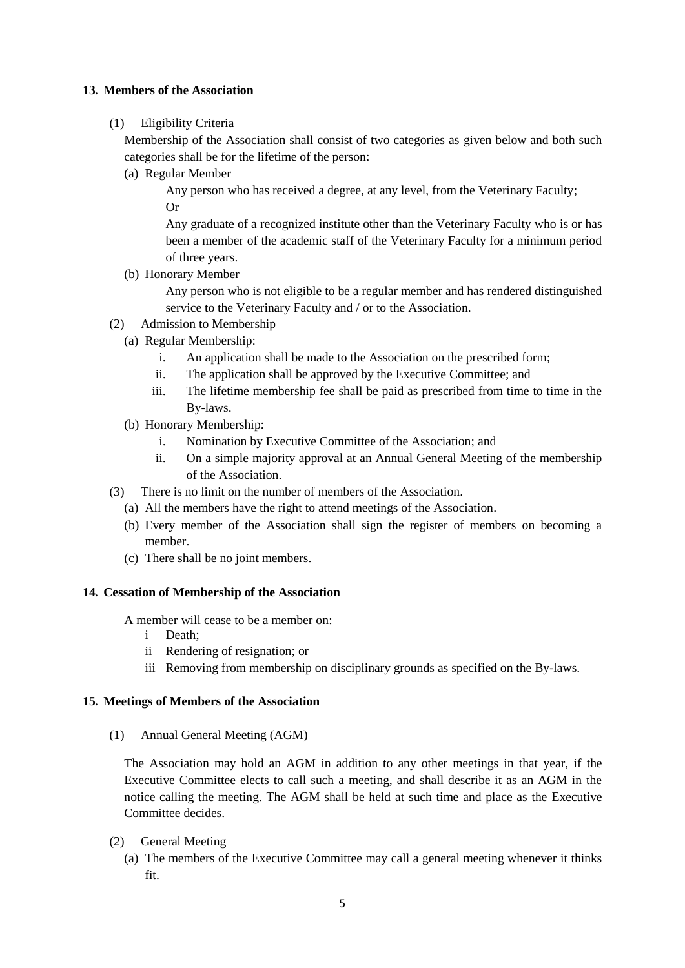# **13. Members of the Association**

(1) Eligibility Criteria

Membership of the Association shall consist of two categories as given below and both such categories shall be for the lifetime of the person:

(a) Regular Member

Any person who has received a degree, at any level, from the Veterinary Faculty; Or

Any graduate of a recognized institute other than the Veterinary Faculty who is or has been a member of the academic staff of the Veterinary Faculty for a minimum period of three years.

(b) Honorary Member

Any person who is not eligible to be a regular member and has rendered distinguished service to the Veterinary Faculty and / or to the Association.

- (2) Admission to Membership
	- (a) Regular Membership:
		- i. An application shall be made to the Association on the prescribed form;
		- ii. The application shall be approved by the Executive Committee; and
		- iii. The lifetime membership fee shall be paid as prescribed from time to time in the By-laws.
	- (b) Honorary Membership:
		- i. Nomination by Executive Committee of the Association; and
		- ii. On a simple majority approval at an Annual General Meeting of the membership of the Association.
- (3) There is no limit on the number of members of the Association.
	- (a) All the members have the right to attend meetings of the Association.
	- (b) Every member of the Association shall sign the register of members on becoming a member.
	- (c) There shall be no joint members.

### **14. Cessation of Membership of the Association**

A member will cease to be a member on:

- i Death;
- ii Rendering of resignation; or
- iii Removing from membership on disciplinary grounds as specified on the By-laws.

### **15. Meetings of Members of the Association**

(1) Annual General Meeting (AGM)

The Association may hold an AGM in addition to any other meetings in that year, if the Executive Committee elects to call such a meeting, and shall describe it as an AGM in the notice calling the meeting. The AGM shall be held at such time and place as the Executive Committee decides.

- (2) General Meeting
	- (a) The members of the Executive Committee may call a general meeting whenever it thinks fit.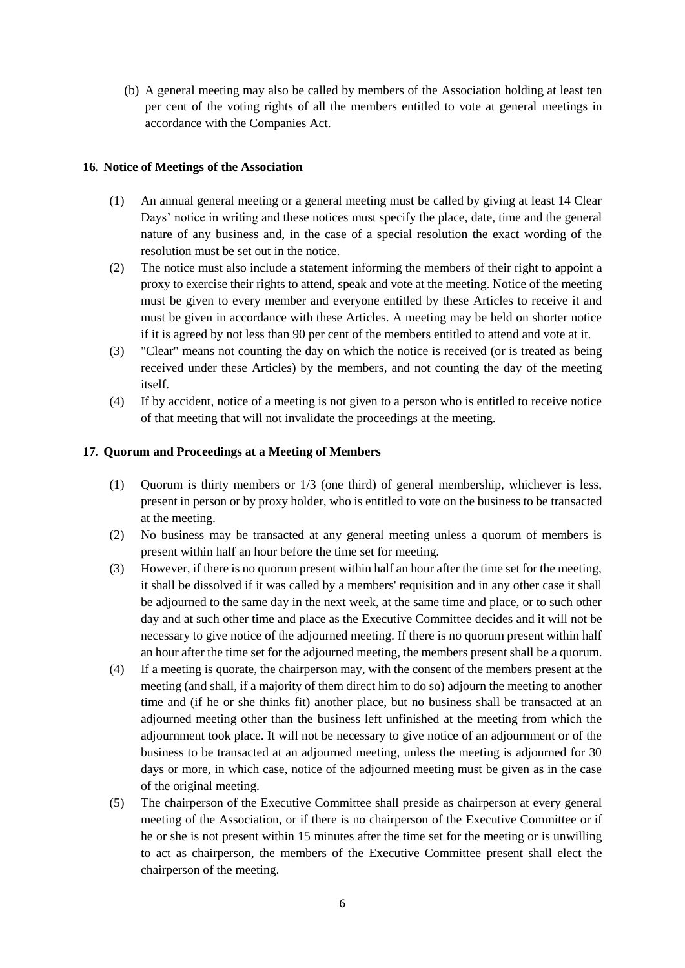(b) A general meeting may also be called by members of the Association holding at least ten per cent of the voting rights of all the members entitled to vote at general meetings in accordance with the Companies Act.

## **16. Notice of Meetings of the Association**

- (1) An annual general meeting or a general meeting must be called by giving at least 14 Clear Days' notice in writing and these notices must specify the place, date, time and the general nature of any business and, in the case of a special resolution the exact wording of the resolution must be set out in the notice.
- (2) The notice must also include a statement informing the members of their right to appoint a proxy to exercise their rights to attend, speak and vote at the meeting. Notice of the meeting must be given to every member and everyone entitled by these Articles to receive it and must be given in accordance with these Articles. A meeting may be held on shorter notice if it is agreed by not less than 90 per cent of the members entitled to attend and vote at it.
- (3) "Clear" means not counting the day on which the notice is received (or is treated as being received under these Articles) by the members, and not counting the day of the meeting itself.
- (4) If by accident, notice of a meeting is not given to a person who is entitled to receive notice of that meeting that will not invalidate the proceedings at the meeting.

## **17. Quorum and Proceedings at a Meeting of Members**

- (1) Quorum is thirty members or 1/3 (one third) of general membership, whichever is less, present in person or by proxy holder, who is entitled to vote on the business to be transacted at the meeting.
- (2) No business may be transacted at any general meeting unless a quorum of members is present within half an hour before the time set for meeting.
- (3) However, if there is no quorum present within half an hour after the time set for the meeting, it shall be dissolved if it was called by a members' requisition and in any other case it shall be adjourned to the same day in the next week, at the same time and place, or to such other day and at such other time and place as the Executive Committee decides and it will not be necessary to give notice of the adjourned meeting. If there is no quorum present within half an hour after the time set for the adjourned meeting, the members present shall be a quorum.
- (4) If a meeting is quorate, the chairperson may, with the consent of the members present at the meeting (and shall, if a majority of them direct him to do so) adjourn the meeting to another time and (if he or she thinks fit) another place, but no business shall be transacted at an adjourned meeting other than the business left unfinished at the meeting from which the adjournment took place. It will not be necessary to give notice of an adjournment or of the business to be transacted at an adjourned meeting, unless the meeting is adjourned for 30 days or more, in which case, notice of the adjourned meeting must be given as in the case of the original meeting.
- (5) The chairperson of the Executive Committee shall preside as chairperson at every general meeting of the Association, or if there is no chairperson of the Executive Committee or if he or she is not present within 15 minutes after the time set for the meeting or is unwilling to act as chairperson, the members of the Executive Committee present shall elect the chairperson of the meeting.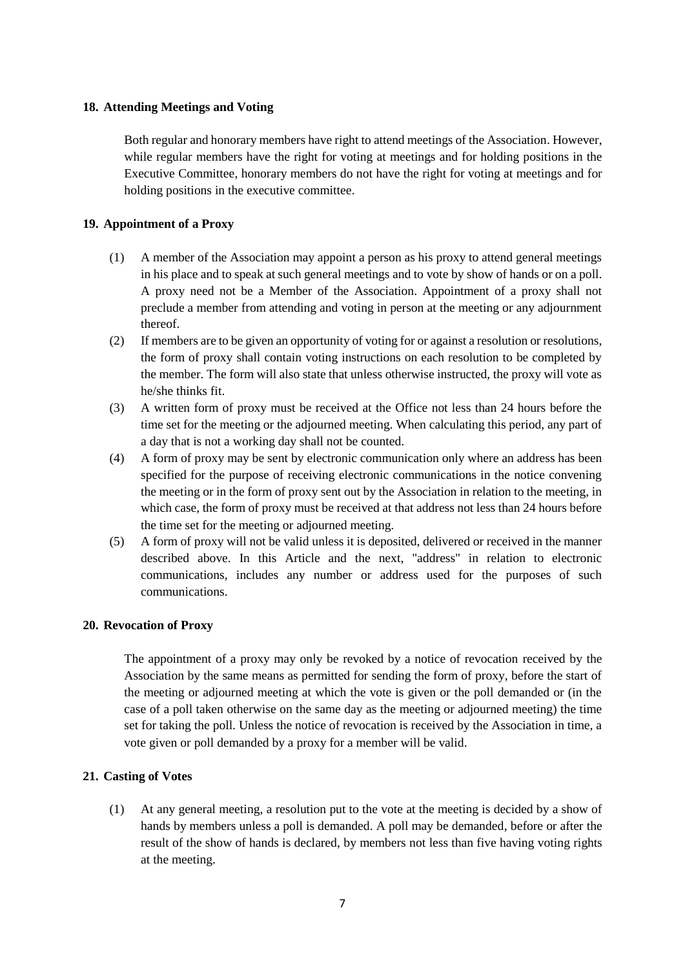## **18. Attending Meetings and Voting**

Both regular and honorary members have right to attend meetings of the Association. However, while regular members have the right for voting at meetings and for holding positions in the Executive Committee, honorary members do not have the right for voting at meetings and for holding positions in the executive committee.

## **19. Appointment of a Proxy**

- (1) A member of the Association may appoint a person as his proxy to attend general meetings in his place and to speak at such general meetings and to vote by show of hands or on a poll. A proxy need not be a Member of the Association. Appointment of a proxy shall not preclude a member from attending and voting in person at the meeting or any adjournment thereof.
- (2) If members are to be given an opportunity of voting for or against a resolution or resolutions, the form of proxy shall contain voting instructions on each resolution to be completed by the member. The form will also state that unless otherwise instructed, the proxy will vote as he/she thinks fit.
- (3) A written form of proxy must be received at the Office not less than 24 hours before the time set for the meeting or the adjourned meeting. When calculating this period, any part of a day that is not a working day shall not be counted.
- (4) A form of proxy may be sent by electronic communication only where an address has been specified for the purpose of receiving electronic communications in the notice convening the meeting or in the form of proxy sent out by the Association in relation to the meeting, in which case, the form of proxy must be received at that address not less than 24 hours before the time set for the meeting or adjourned meeting.
- (5) A form of proxy will not be valid unless it is deposited, delivered or received in the manner described above. In this Article and the next, "address" in relation to electronic communications, includes any number or address used for the purposes of such communications.

### **20. Revocation of Proxy**

The appointment of a proxy may only be revoked by a notice of revocation received by the Association by the same means as permitted for sending the form of proxy, before the start of the meeting or adjourned meeting at which the vote is given or the poll demanded or (in the case of a poll taken otherwise on the same day as the meeting or adjourned meeting) the time set for taking the poll. Unless the notice of revocation is received by the Association in time, a vote given or poll demanded by a proxy for a member will be valid.

### **21. Casting of Votes**

(1) At any general meeting, a resolution put to the vote at the meeting is decided by a show of hands by members unless a poll is demanded. A poll may be demanded, before or after the result of the show of hands is declared, by members not less than five having voting rights at the meeting.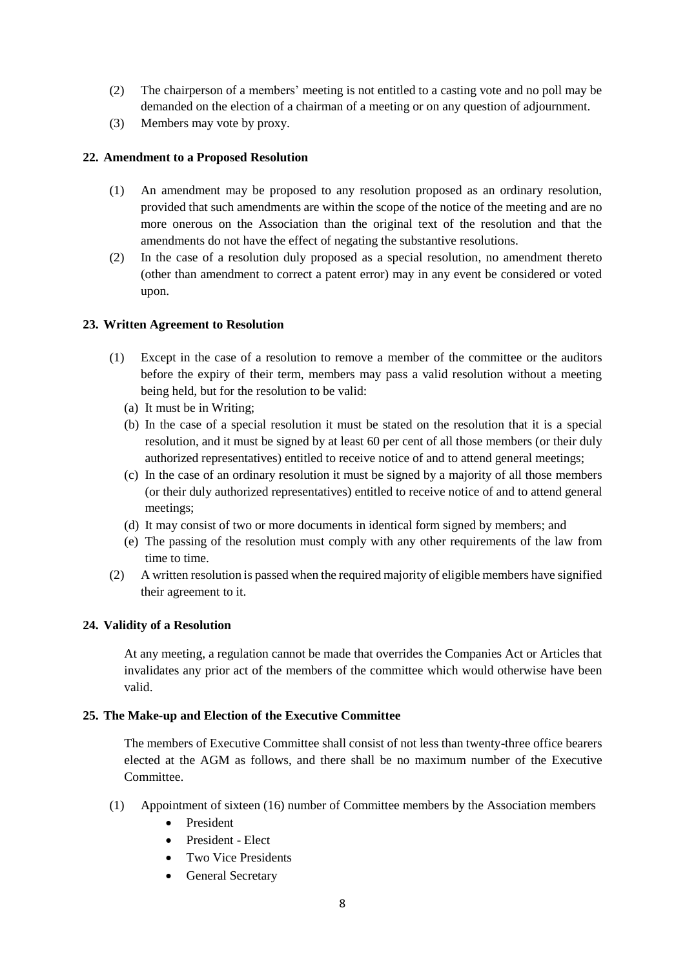- (2) The chairperson of a members' meeting is not entitled to a casting vote and no poll may be demanded on the election of a chairman of a meeting or on any question of adjournment.
- (3) Members may vote by proxy.

# **22. Amendment to a Proposed Resolution**

- (1) An amendment may be proposed to any resolution proposed as an ordinary resolution, provided that such amendments are within the scope of the notice of the meeting and are no more onerous on the Association than the original text of the resolution and that the amendments do not have the effect of negating the substantive resolutions.
- (2) In the case of a resolution duly proposed as a special resolution, no amendment thereto (other than amendment to correct a patent error) may in any event be considered or voted upon.

# **23. Written Agreement to Resolution**

- (1) Except in the case of a resolution to remove a member of the committee or the auditors before the expiry of their term, members may pass a valid resolution without a meeting being held, but for the resolution to be valid:
	- (a) It must be in Writing;
	- (b) In the case of a special resolution it must be stated on the resolution that it is a special resolution, and it must be signed by at least 60 per cent of all those members (or their duly authorized representatives) entitled to receive notice of and to attend general meetings;
	- (c) In the case of an ordinary resolution it must be signed by a majority of all those members (or their duly authorized representatives) entitled to receive notice of and to attend general meetings;
	- (d) It may consist of two or more documents in identical form signed by members; and
	- (e) The passing of the resolution must comply with any other requirements of the law from time to time.
- (2) A written resolution is passed when the required majority of eligible members have signified their agreement to it.

# **24. Validity of a Resolution**

At any meeting, a regulation cannot be made that overrides the Companies Act or Articles that invalidates any prior act of the members of the committee which would otherwise have been valid.

# **25. The Make-up and Election of the Executive Committee**

The members of Executive Committee shall consist of not less than twenty-three office bearers elected at the AGM as follows, and there shall be no maximum number of the Executive Committee.

- (1) Appointment of sixteen (16) number of Committee members by the Association members
	- President
	- President Elect
	- Two Vice Presidents
	- General Secretary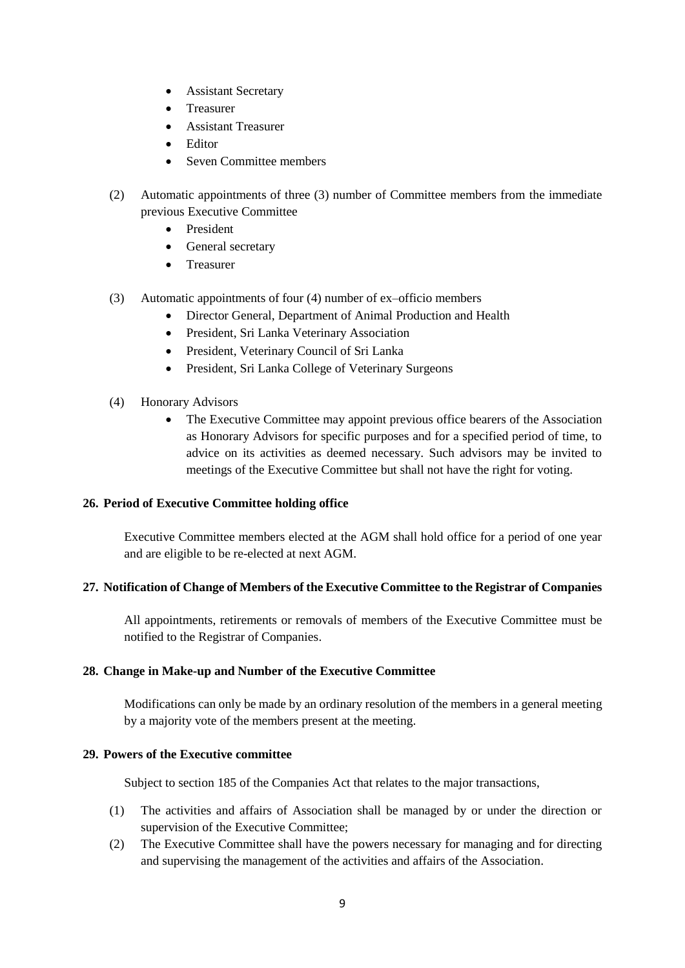- Assistant Secretary
- Treasurer
- Assistant Treasurer
- Editor
- Seven Committee members
- (2) Automatic appointments of three (3) number of Committee members from the immediate previous Executive Committee
	- President
	- General secretary
	- Treasurer
- (3) Automatic appointments of four (4) number of ex–officio members
	- Director General, Department of Animal Production and Health
	- President, Sri Lanka Veterinary Association
	- President, Veterinary Council of Sri Lanka
	- President, Sri Lanka College of Veterinary Surgeons
- (4) Honorary Advisors
	- The Executive Committee may appoint previous office bearers of the Association as Honorary Advisors for specific purposes and for a specified period of time, to advice on its activities as deemed necessary. Such advisors may be invited to meetings of the Executive Committee but shall not have the right for voting.

### **26. Period of Executive Committee holding office**

Executive Committee members elected at the AGM shall hold office for a period of one year and are eligible to be re-elected at next AGM.

### **27. Notification of Change of Members of the Executive Committee to the Registrar of Companies**

All appointments, retirements or removals of members of the Executive Committee must be notified to the Registrar of Companies.

### **28. Change in Make-up and Number of the Executive Committee**

Modifications can only be made by an ordinary resolution of the members in a general meeting by a majority vote of the members present at the meeting.

### **29. Powers of the Executive committee**

Subject to section 185 of the Companies Act that relates to the major transactions,

- (1) The activities and affairs of Association shall be managed by or under the direction or supervision of the Executive Committee;
- (2) The Executive Committee shall have the powers necessary for managing and for directing and supervising the management of the activities and affairs of the Association.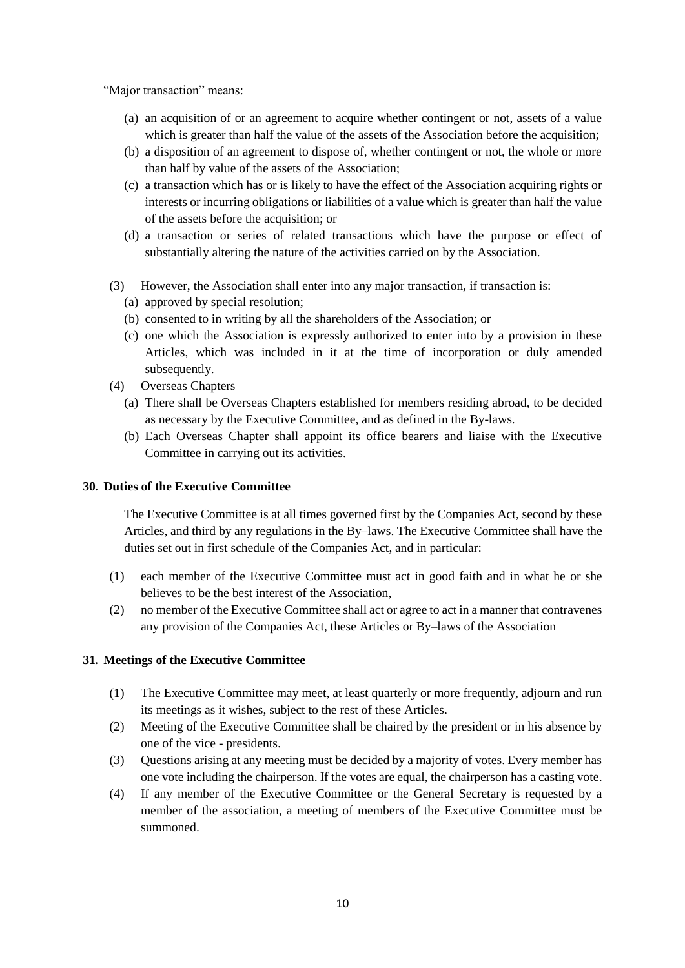"Major transaction" means:

- (a) an acquisition of or an agreement to acquire whether contingent or not, assets of a value which is greater than half the value of the assets of the Association before the acquisition;
- (b) a disposition of an agreement to dispose of, whether contingent or not, the whole or more than half by value of the assets of the Association;
- (c) a transaction which has or is likely to have the effect of the Association acquiring rights or interests or incurring obligations or liabilities of a value which is greater than half the value of the assets before the acquisition; or
- (d) a transaction or series of related transactions which have the purpose or effect of substantially altering the nature of the activities carried on by the Association.
- (3) However, the Association shall enter into any major transaction, if transaction is:
	- (a) approved by special resolution;
	- (b) consented to in writing by all the shareholders of the Association; or
	- (c) one which the Association is expressly authorized to enter into by a provision in these Articles, which was included in it at the time of incorporation or duly amended subsequently.
- (4) Overseas Chapters
	- (a) There shall be Overseas Chapters established for members residing abroad, to be decided as necessary by the Executive Committee, and as defined in the By-laws.
	- (b) Each Overseas Chapter shall appoint its office bearers and liaise with the Executive Committee in carrying out its activities.

#### **30. Duties of the Executive Committee**

The Executive Committee is at all times governed first by the Companies Act, second by these Articles, and third by any regulations in the By–laws. The Executive Committee shall have the duties set out in first schedule of the Companies Act, and in particular:

- (1) each member of the Executive Committee must act in good faith and in what he or she believes to be the best interest of the Association,
- (2) no member of the Executive Committee shall act or agree to act in a manner that contravenes any provision of the Companies Act, these Articles or By–laws of the Association

#### **31. Meetings of the Executive Committee**

- (1) The Executive Committee may meet, at least quarterly or more frequently, adjourn and run its meetings as it wishes, subject to the rest of these Articles.
- (2) Meeting of the Executive Committee shall be chaired by the president or in his absence by one of the vice - presidents.
- (3) Questions arising at any meeting must be decided by a majority of votes. Every member has one vote including the chairperson. If the votes are equal, the chairperson has a casting vote.
- (4) If any member of the Executive Committee or the General Secretary is requested by a member of the association, a meeting of members of the Executive Committee must be summoned.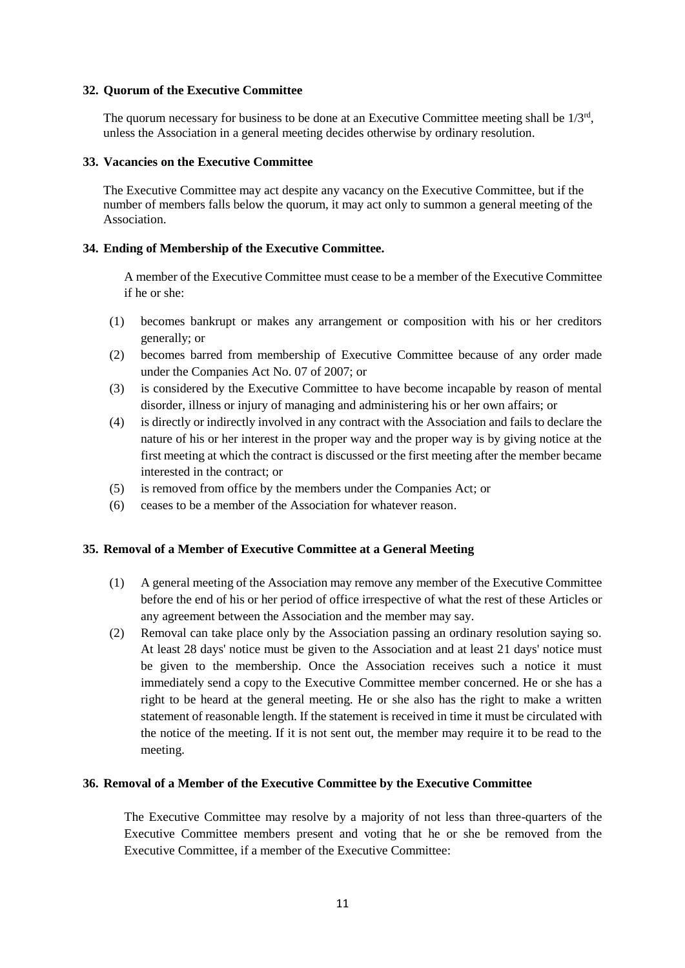#### **32. Quorum of the Executive Committee**

The quorum necessary for business to be done at an Executive Committee meeting shall be  $1/3^{rd}$ , unless the Association in a general meeting decides otherwise by ordinary resolution.

#### **33. Vacancies on the Executive Committee**

The Executive Committee may act despite any vacancy on the Executive Committee, but if the number of members falls below the quorum, it may act only to summon a general meeting of the Association.

#### **34. Ending of Membership of the Executive Committee.**

A member of the Executive Committee must cease to be a member of the Executive Committee if he or she:

- (1) becomes bankrupt or makes any arrangement or composition with his or her creditors generally; or
- (2) becomes barred from membership of Executive Committee because of any order made under the Companies Act No. 07 of 2007; or
- (3) is considered by the Executive Committee to have become incapable by reason of mental disorder, illness or injury of managing and administering his or her own affairs; or
- (4) is directly or indirectly involved in any contract with the Association and fails to declare the nature of his or her interest in the proper way and the proper way is by giving notice at the first meeting at which the contract is discussed or the first meeting after the member became interested in the contract; or
- (5) is removed from office by the members under the Companies Act; or
- (6) ceases to be a member of the Association for whatever reason.

#### **35. Removal of a Member of Executive Committee at a General Meeting**

- (1) A general meeting of the Association may remove any member of the Executive Committee before the end of his or her period of office irrespective of what the rest of these Articles or any agreement between the Association and the member may say.
- (2) Removal can take place only by the Association passing an ordinary resolution saying so. At least 28 days' notice must be given to the Association and at least 21 days' notice must be given to the membership. Once the Association receives such a notice it must immediately send a copy to the Executive Committee member concerned. He or she has a right to be heard at the general meeting. He or she also has the right to make a written statement of reasonable length. If the statement is received in time it must be circulated with the notice of the meeting. If it is not sent out, the member may require it to be read to the meeting.

#### **36. Removal of a Member of the Executive Committee by the Executive Committee**

The Executive Committee may resolve by a majority of not less than three-quarters of the Executive Committee members present and voting that he or she be removed from the Executive Committee, if a member of the Executive Committee: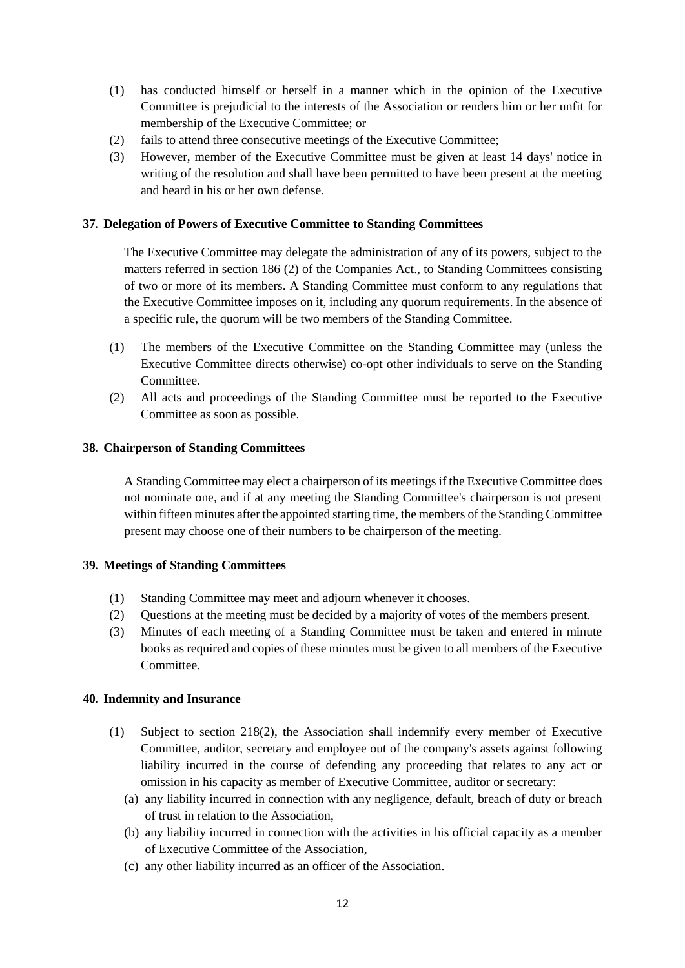- (1) has conducted himself or herself in a manner which in the opinion of the Executive Committee is prejudicial to the interests of the Association or renders him or her unfit for membership of the Executive Committee; or
- (2) fails to attend three consecutive meetings of the Executive Committee;
- (3) However, member of the Executive Committee must be given at least 14 days' notice in writing of the resolution and shall have been permitted to have been present at the meeting and heard in his or her own defense.

### **37. Delegation of Powers of Executive Committee to Standing Committees**

The Executive Committee may delegate the administration of any of its powers, subject to the matters referred in section 186 (2) of the Companies Act., to Standing Committees consisting of two or more of its members. A Standing Committee must conform to any regulations that the Executive Committee imposes on it, including any quorum requirements. In the absence of a specific rule, the quorum will be two members of the Standing Committee.

- (1) The members of the Executive Committee on the Standing Committee may (unless the Executive Committee directs otherwise) co-opt other individuals to serve on the Standing Committee.
- (2) All acts and proceedings of the Standing Committee must be reported to the Executive Committee as soon as possible.

### **38. Chairperson of Standing Committees**

A Standing Committee may elect a chairperson of its meetings if the Executive Committee does not nominate one, and if at any meeting the Standing Committee's chairperson is not present within fifteen minutes after the appointed starting time, the members of the Standing Committee present may choose one of their numbers to be chairperson of the meeting.

### **39. Meetings of Standing Committees**

- (1) Standing Committee may meet and adjourn whenever it chooses.
- (2) Questions at the meeting must be decided by a majority of votes of the members present.
- (3) Minutes of each meeting of a Standing Committee must be taken and entered in minute books as required and copies of these minutes must be given to all members of the Executive Committee.

### **40. Indemnity and Insurance**

- (1) Subject to section 218(2), the Association shall indemnify every member of Executive Committee, auditor, secretary and employee out of the company's assets against following liability incurred in the course of defending any proceeding that relates to any act or omission in his capacity as member of Executive Committee, auditor or secretary:
	- (a) any liability incurred in connection with any negligence, default, breach of duty or breach of trust in relation to the Association,
	- (b) any liability incurred in connection with the activities in his official capacity as a member of Executive Committee of the Association,
	- (c) any other liability incurred as an officer of the Association.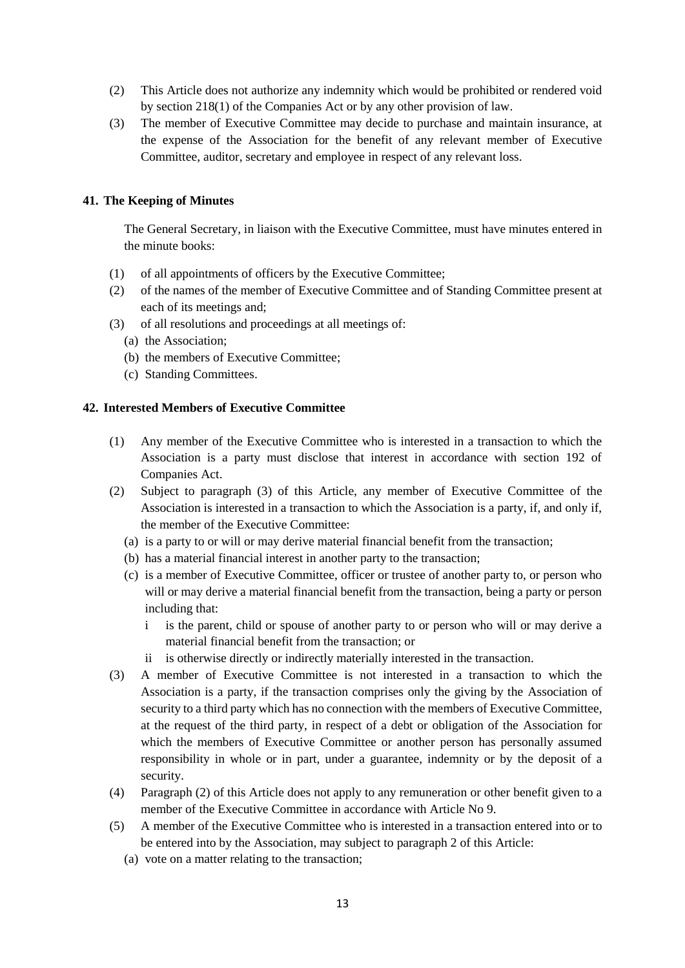- (2) This Article does not authorize any indemnity which would be prohibited or rendered void by section 218(1) of the Companies Act or by any other provision of law.
- (3) The member of Executive Committee may decide to purchase and maintain insurance, at the expense of the Association for the benefit of any relevant member of Executive Committee, auditor, secretary and employee in respect of any relevant loss.

# **41. The Keeping of Minutes**

The General Secretary, in liaison with the Executive Committee, must have minutes entered in the minute books:

- (1) of all appointments of officers by the Executive Committee;
- (2) of the names of the member of Executive Committee and of Standing Committee present at each of its meetings and;
- (3) of all resolutions and proceedings at all meetings of:
	- (a) the Association;
	- (b) the members of Executive Committee;
	- (c) Standing Committees.

### **42. Interested Members of Executive Committee**

- (1) Any member of the Executive Committee who is interested in a transaction to which the Association is a party must disclose that interest in accordance with section 192 of Companies Act.
- (2) Subject to paragraph (3) of this Article, any member of Executive Committee of the Association is interested in a transaction to which the Association is a party, if, and only if, the member of the Executive Committee:
	- (a) is a party to or will or may derive material financial benefit from the transaction;
	- (b) has a material financial interest in another party to the transaction;
	- (c) is a member of Executive Committee, officer or trustee of another party to, or person who will or may derive a material financial benefit from the transaction, being a party or person including that:
		- i is the parent, child or spouse of another party to or person who will or may derive a material financial benefit from the transaction; or
		- ii is otherwise directly or indirectly materially interested in the transaction.
- (3) A member of Executive Committee is not interested in a transaction to which the Association is a party, if the transaction comprises only the giving by the Association of security to a third party which has no connection with the members of Executive Committee, at the request of the third party, in respect of a debt or obligation of the Association for which the members of Executive Committee or another person has personally assumed responsibility in whole or in part, under a guarantee, indemnity or by the deposit of a security.
- (4) Paragraph (2) of this Article does not apply to any remuneration or other benefit given to a member of the Executive Committee in accordance with Article No 9.
- (5) A member of the Executive Committee who is interested in a transaction entered into or to be entered into by the Association, may subject to paragraph 2 of this Article:
	- (a) vote on a matter relating to the transaction;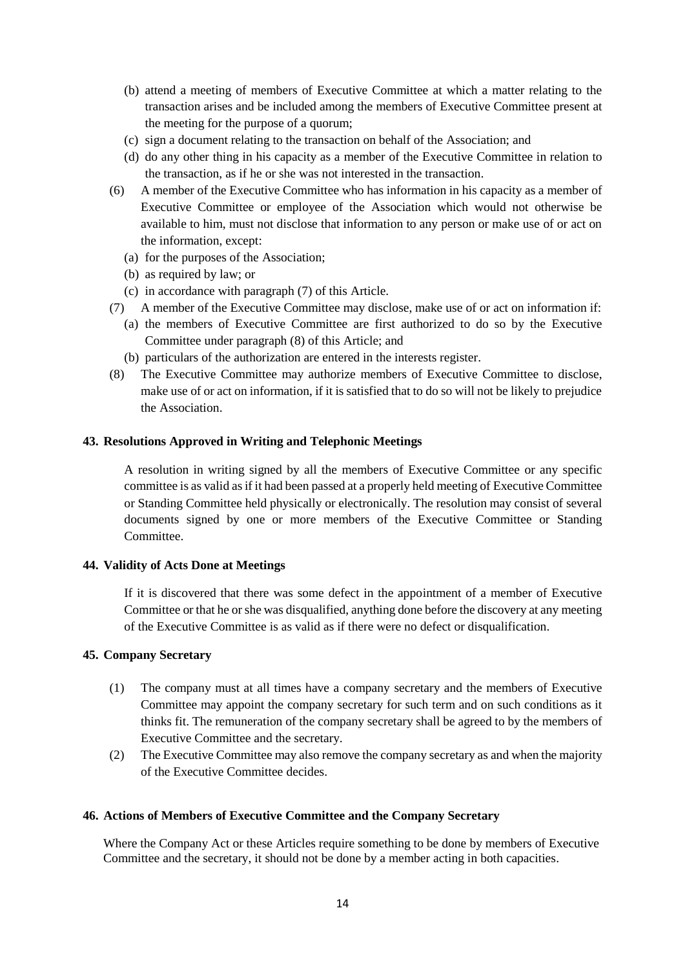- (b) attend a meeting of members of Executive Committee at which a matter relating to the transaction arises and be included among the members of Executive Committee present at the meeting for the purpose of a quorum;
- (c) sign a document relating to the transaction on behalf of the Association; and
- (d) do any other thing in his capacity as a member of the Executive Committee in relation to the transaction, as if he or she was not interested in the transaction.
- (6) A member of the Executive Committee who has information in his capacity as a member of Executive Committee or employee of the Association which would not otherwise be available to him, must not disclose that information to any person or make use of or act on the information, except:
	- (a) for the purposes of the Association;
	- (b) as required by law; or
	- (c) in accordance with paragraph (7) of this Article.
- (7) A member of the Executive Committee may disclose, make use of or act on information if:
	- (a) the members of Executive Committee are first authorized to do so by the Executive Committee under paragraph (8) of this Article; and
	- (b) particulars of the authorization are entered in the interests register.
- (8) The Executive Committee may authorize members of Executive Committee to disclose, make use of or act on information, if it is satisfied that to do so will not be likely to prejudice the Association.

### **43. Resolutions Approved in Writing and Telephonic Meetings**

A resolution in writing signed by all the members of Executive Committee or any specific committee is as valid as if it had been passed at a properly held meeting of Executive Committee or Standing Committee held physically or electronically. The resolution may consist of several documents signed by one or more members of the Executive Committee or Standing Committee.

### **44. Validity of Acts Done at Meetings**

If it is discovered that there was some defect in the appointment of a member of Executive Committee or that he or she was disqualified, anything done before the discovery at any meeting of the Executive Committee is as valid as if there were no defect or disqualification.

#### **45. Company Secretary**

- (1) The company must at all times have a company secretary and the members of Executive Committee may appoint the company secretary for such term and on such conditions as it thinks fit. The remuneration of the company secretary shall be agreed to by the members of Executive Committee and the secretary.
- (2) The Executive Committee may also remove the company secretary as and when the majority of the Executive Committee decides.

### **46. Actions of Members of Executive Committee and the Company Secretary**

Where the Company Act or these Articles require something to be done by members of Executive Committee and the secretary, it should not be done by a member acting in both capacities.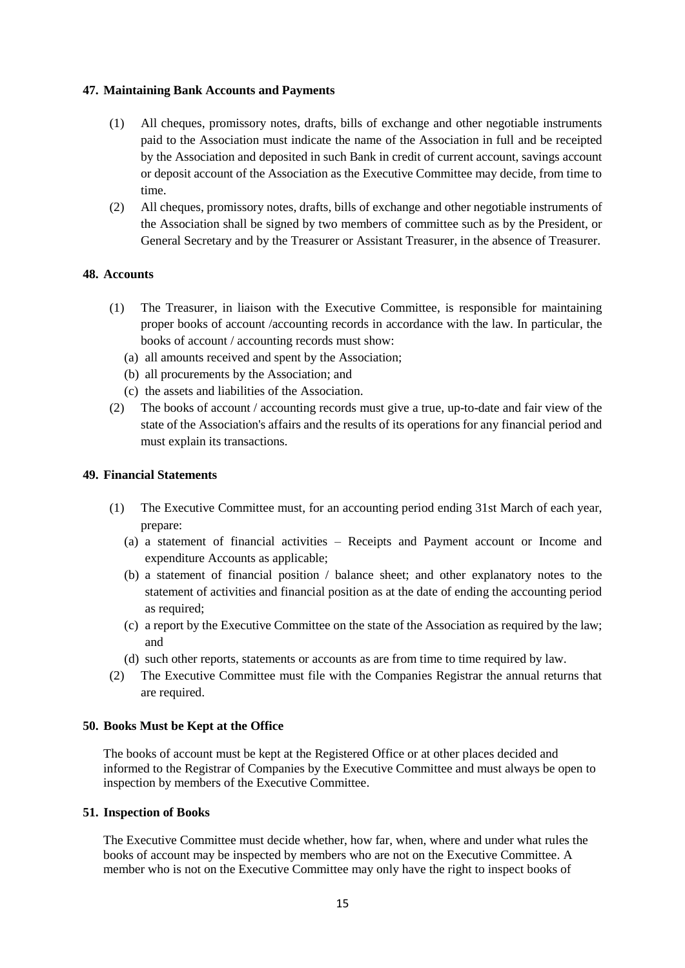### **47. Maintaining Bank Accounts and Payments**

- (1) All cheques, promissory notes, drafts, bills of exchange and other negotiable instruments paid to the Association must indicate the name of the Association in full and be receipted by the Association and deposited in such Bank in credit of current account, savings account or deposit account of the Association as the Executive Committee may decide, from time to time.
- (2) All cheques, promissory notes, drafts, bills of exchange and other negotiable instruments of the Association shall be signed by two members of committee such as by the President, or General Secretary and by the Treasurer or Assistant Treasurer, in the absence of Treasurer.

# **48. Accounts**

- (1) The Treasurer, in liaison with the Executive Committee, is responsible for maintaining proper books of account /accounting records in accordance with the law. In particular, the books of account / accounting records must show:
	- (a) all amounts received and spent by the Association;
	- (b) all procurements by the Association; and
	- (c) the assets and liabilities of the Association.
- (2) The books of account / accounting records must give a true, up-to-date and fair view of the state of the Association's affairs and the results of its operations for any financial period and must explain its transactions.

### **49. Financial Statements**

- (1) The Executive Committee must, for an accounting period ending 31st March of each year, prepare:
	- (a) a statement of financial activities Receipts and Payment account or Income and expenditure Accounts as applicable;
	- (b) a statement of financial position / balance sheet; and other explanatory notes to the statement of activities and financial position as at the date of ending the accounting period as required;
	- (c) a report by the Executive Committee on the state of the Association as required by the law; and
	- (d) such other reports, statements or accounts as are from time to time required by law.
- (2) The Executive Committee must file with the Companies Registrar the annual returns that are required.

### **50. Books Must be Kept at the Office**

The books of account must be kept at the Registered Office or at other places decided and informed to the Registrar of Companies by the Executive Committee and must always be open to inspection by members of the Executive Committee.

### **51. Inspection of Books**

The Executive Committee must decide whether, how far, when, where and under what rules the books of account may be inspected by members who are not on the Executive Committee. A member who is not on the Executive Committee may only have the right to inspect books of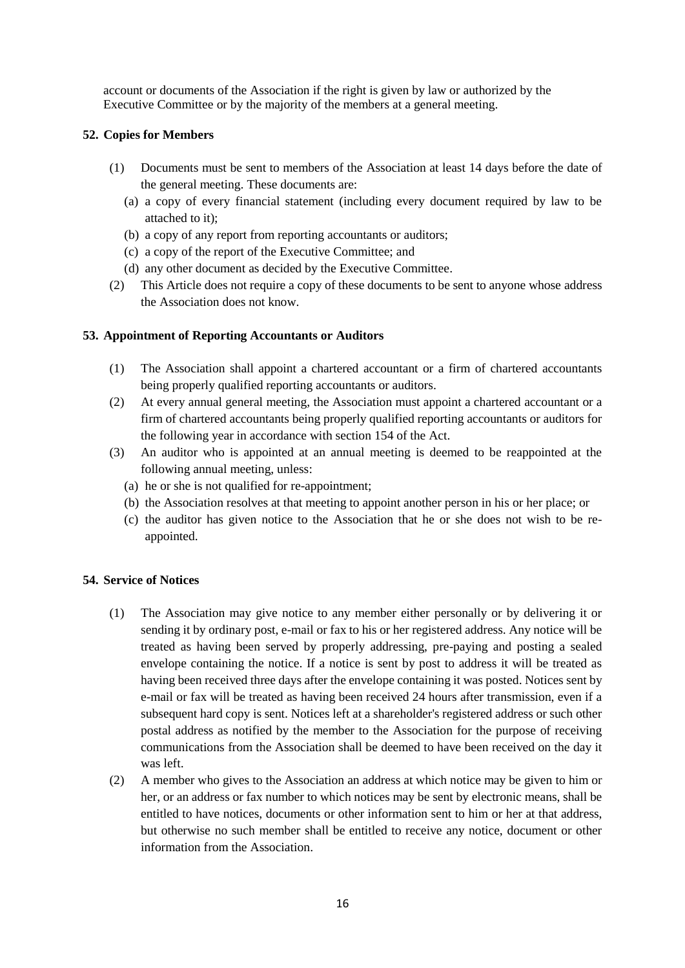account or documents of the Association if the right is given by law or authorized by the Executive Committee or by the majority of the members at a general meeting.

# **52. Copies for Members**

- (1) Documents must be sent to members of the Association at least 14 days before the date of the general meeting. These documents are:
	- (a) a copy of every financial statement (including every document required by law to be attached to it);
	- (b) a copy of any report from reporting accountants or auditors;
	- (c) a copy of the report of the Executive Committee; and
	- (d) any other document as decided by the Executive Committee.
- (2) This Article does not require a copy of these documents to be sent to anyone whose address the Association does not know.

## **53. Appointment of Reporting Accountants or Auditors**

- (1) The Association shall appoint a chartered accountant or a firm of chartered accountants being properly qualified reporting accountants or auditors.
- (2) At every annual general meeting, the Association must appoint a chartered accountant or a firm of chartered accountants being properly qualified reporting accountants or auditors for the following year in accordance with section 154 of the Act.
- (3) An auditor who is appointed at an annual meeting is deemed to be reappointed at the following annual meeting, unless:
	- (a) he or she is not qualified for re-appointment;
	- (b) the Association resolves at that meeting to appoint another person in his or her place; or
	- (c) the auditor has given notice to the Association that he or she does not wish to be reappointed.

### **54. Service of Notices**

- (1) The Association may give notice to any member either personally or by delivering it or sending it by ordinary post, e-mail or fax to his or her registered address. Any notice will be treated as having been served by properly addressing, pre-paying and posting a sealed envelope containing the notice. If a notice is sent by post to address it will be treated as having been received three days after the envelope containing it was posted. Notices sent by e-mail or fax will be treated as having been received 24 hours after transmission, even if a subsequent hard copy is sent. Notices left at a shareholder's registered address or such other postal address as notified by the member to the Association for the purpose of receiving communications from the Association shall be deemed to have been received on the day it was left.
- (2) A member who gives to the Association an address at which notice may be given to him or her, or an address or fax number to which notices may be sent by electronic means, shall be entitled to have notices, documents or other information sent to him or her at that address, but otherwise no such member shall be entitled to receive any notice, document or other information from the Association.